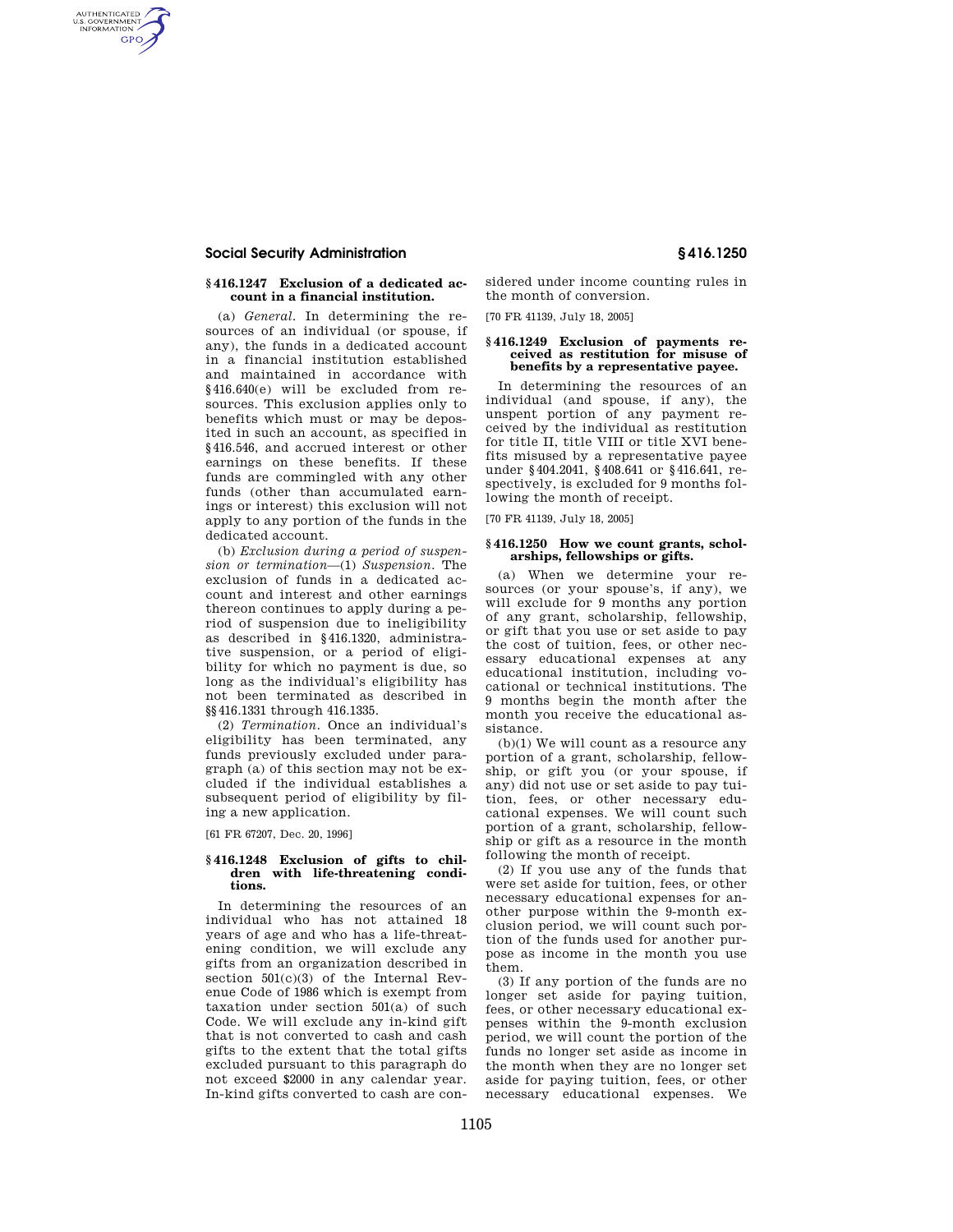# **Social Security Administration § 416.1250**

AUTHENTICATED<br>U.S. GOVERNMENT<br>INFORMATION GPO

## **§ 416.1247 Exclusion of a dedicated account in a financial institution.**

(a) *General.* In determining the resources of an individual (or spouse, if any), the funds in a dedicated account in a financial institution established and maintained in accordance with §416.640(e) will be excluded from resources. This exclusion applies only to benefits which must or may be deposited in such an account, as specified in §416.546, and accrued interest or other earnings on these benefits. If these funds are commingled with any other funds (other than accumulated earnings or interest) this exclusion will not apply to any portion of the funds in the dedicated account.

(b) *Exclusion during a period of suspension or termination*—(1) *Suspension.* The exclusion of funds in a dedicated account and interest and other earnings thereon continues to apply during a period of suspension due to ineligibility as described in §416.1320, administrative suspension, or a period of eligibility for which no payment is due, so long as the individual's eligibility has not been terminated as described in §§416.1331 through 416.1335.

(2) *Termination.* Once an individual's eligibility has been terminated, any funds previously excluded under paragraph (a) of this section may not be excluded if the individual establishes a subsequent period of eligibility by filing a new application.

[61 FR 67207, Dec. 20, 1996]

#### **§ 416.1248 Exclusion of gifts to children with life-threatening conditions.**

In determining the resources of an individual who has not attained 18 years of age and who has a life-threatening condition, we will exclude any gifts from an organization described in section 501(c)(3) of the Internal Revenue Code of 1986 which is exempt from taxation under section 501(a) of such Code. We will exclude any in-kind gift that is not converted to cash and cash gifts to the extent that the total gifts excluded pursuant to this paragraph do not exceed \$2000 in any calendar year. In-kind gifts converted to cash are considered under income counting rules in the month of conversion.

[70 FR 41139, July 18, 2005]

#### **§ 416.1249 Exclusion of payments received as restitution for misuse of benefits by a representative payee.**

In determining the resources of an individual (and spouse, if any), the unspent portion of any payment received by the individual as restitution for title II, title VIII or title XVI benefits misused by a representative payee under §404.2041, §408.641 or §416.641, respectively, is excluded for 9 months following the month of receipt.

[70 FR 41139, July 18, 2005]

### **§ 416.1250 How we count grants, scholarships, fellowships or gifts.**

(a) When we determine your resources (or your spouse's, if any), we will exclude for 9 months any portion of any grant, scholarship, fellowship, or gift that you use or set aside to pay the cost of tuition, fees, or other necessary educational expenses at any educational institution, including vocational or technical institutions. The 9 months begin the month after the month you receive the educational assistance.

(b)(1) We will count as a resource any portion of a grant, scholarship, fellowship, or gift you (or your spouse, if any) did not use or set aside to pay tuition, fees, or other necessary educational expenses. We will count such portion of a grant, scholarship, fellowship or gift as a resource in the month following the month of receipt.

(2) If you use any of the funds that were set aside for tuition, fees, or other necessary educational expenses for another purpose within the 9-month exclusion period, we will count such portion of the funds used for another purpose as income in the month you use them.

(3) If any portion of the funds are no longer set aside for paying tuition, fees, or other necessary educational expenses within the 9-month exclusion period, we will count the portion of the funds no longer set aside as income in the month when they are no longer set aside for paying tuition, fees, or other necessary educational expenses. We